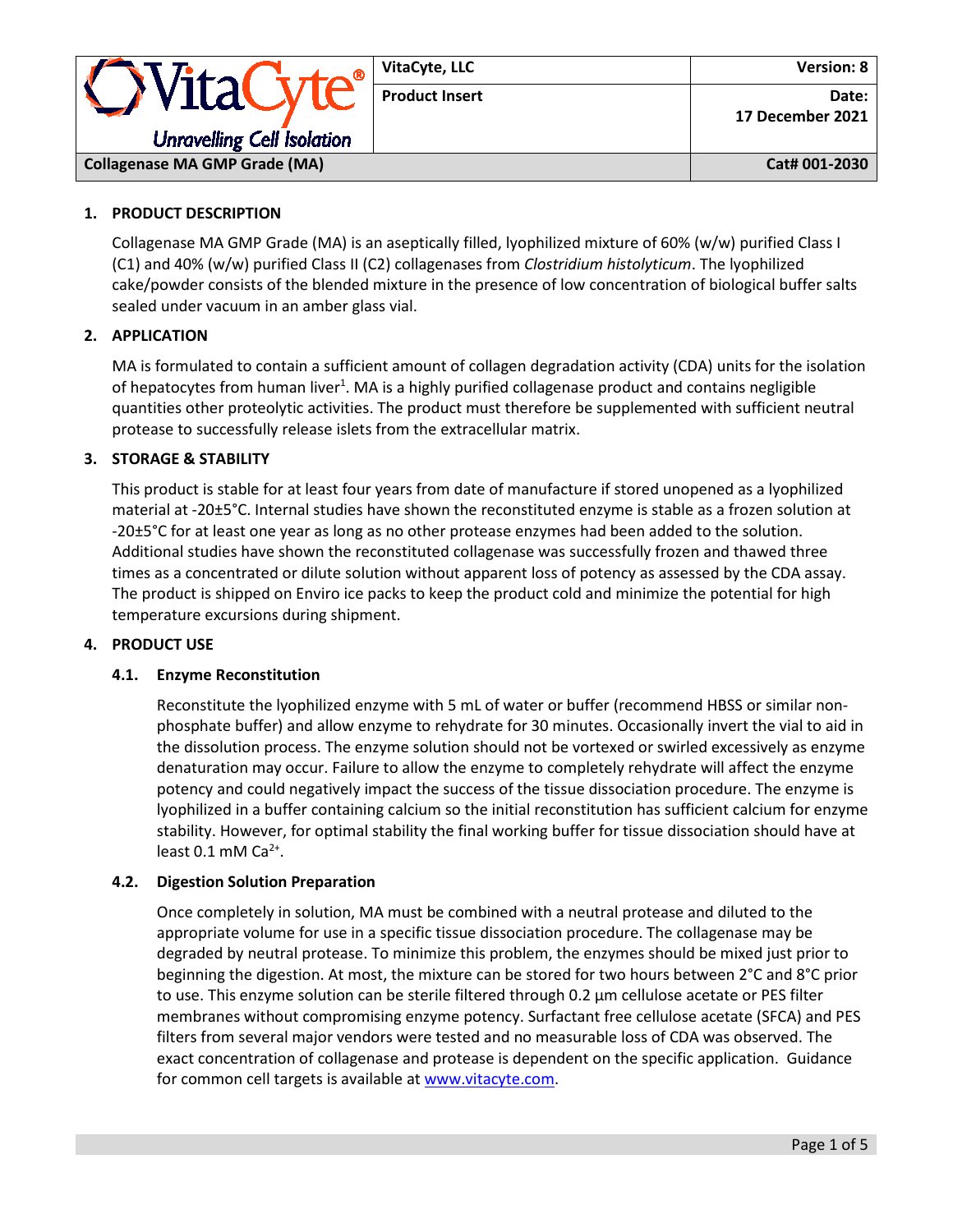| · WitaCyte<br><b>Unravelling Cell Isolation</b> | VitaCyte, LLC         | Version: 8                |
|-------------------------------------------------|-----------------------|---------------------------|
|                                                 | <b>Product Insert</b> | Date:<br>17 December 2021 |
| <b>Collagenase MA GMP Grade (MA)</b>            |                       | Cat# 001-2030             |

# **1. PRODUCT DESCRIPTION**

Collagenase MA GMP Grade (MA) is an aseptically filled, lyophilized mixture of 60% (w/w) purified Class I (C1) and 40% (w/w) purified Class II (C2) collagenases from *Clostridium histolyticum*. The lyophilized cake/powder consists of the blended mixture in the presence of low concentration of biological buffer salts sealed under vacuum in an amber glass vial.

## **2. APPLICATION**

MA is formulated to contain a sufficient amount of collagen degradation activity (CDA) units for the isolation of hepatocytes from human liver<sup>1</sup>. MA is a highly purified collagenase product and contains negligible quantities other proteolytic activities. The product must therefore be supplemented with sufficient neutral protease to successfully release islets from the extracellular matrix.

## **3. STORAGE & STABILITY**

This product is stable for at least four years from date of manufacture if stored unopened as a lyophilized material at -20±5°C. Internal studies have shown the reconstituted enzyme is stable as a frozen solution at -20±5°C for at least one year as long as no other protease enzymes had been added to the solution. Additional studies have shown the reconstituted collagenase was successfully frozen and thawed three times as a concentrated or dilute solution without apparent loss of potency as assessed by the CDA assay. The product is shipped on Enviro ice packs to keep the product cold and minimize the potential for high temperature excursions during shipment.

## **4. PRODUCT USE**

## **4.1. Enzyme Reconstitution**

Reconstitute the lyophilized enzyme with 5 mL of water or buffer (recommend HBSS or similar nonphosphate buffer) and allow enzyme to rehydrate for 30 minutes. Occasionally invert the vial to aid in the dissolution process. The enzyme solution should not be vortexed or swirled excessively as enzyme denaturation may occur. Failure to allow the enzyme to completely rehydrate will affect the enzyme potency and could negatively impact the success of the tissue dissociation procedure. The enzyme is lyophilized in a buffer containing calcium so the initial reconstitution has sufficient calcium for enzyme stability. However, for optimal stability the final working buffer for tissue dissociation should have at least  $0.1$  mM  $Ca<sup>2+</sup>$ .

## **4.2. Digestion Solution Preparation**

Once completely in solution, MA must be combined with a neutral protease and diluted to the appropriate volume for use in a specific tissue dissociation procedure. The collagenase may be degraded by neutral protease. To minimize this problem, the enzymes should be mixed just prior to beginning the digestion. At most, the mixture can be stored for two hours between 2°C and 8°C prior to use. This enzyme solution can be sterile filtered through 0.2 μm cellulose acetate or PES filter membranes without compromising enzyme potency. Surfactant free cellulose acetate (SFCA) and PES filters from several major vendors were tested and no measurable loss of CDA was observed. The exact concentration of collagenase and protease is dependent on the specific application. Guidance for common cell targets is available at [www.vitacyte.com.](http://www.vitacyte.com/)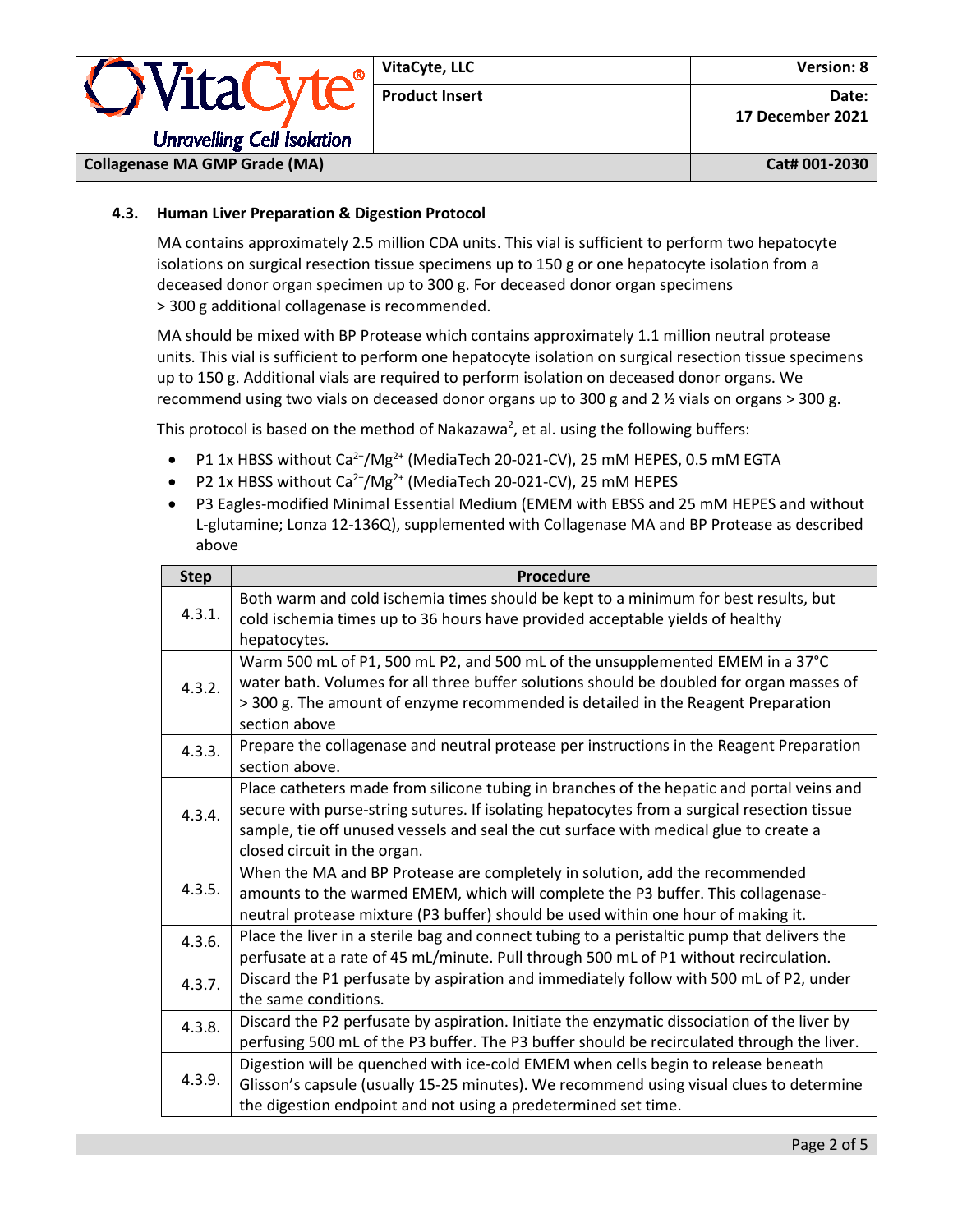|                                      | VitaCyte, LLC         | Version: 8                |
|--------------------------------------|-----------------------|---------------------------|
| <i><b>OVitaCyte®</b></i>             | <b>Product Insert</b> | Date:<br>17 December 2021 |
| <b>Unravelling Cell Isolation</b>    |                       |                           |
| <b>Collagenase MA GMP Grade (MA)</b> |                       | Cat# 001-2030             |

# **4.3. Human Liver Preparation & Digestion Protocol**

MA contains approximately 2.5 million CDA units. This vial is sufficient to perform two hepatocyte isolations on surgical resection tissue specimens up to 150 g or one hepatocyte isolation from a deceased donor organ specimen up to 300 g. For deceased donor organ specimens > 300 g additional collagenase is recommended.

MA should be mixed with BP Protease which contains approximately 1.1 million neutral protease units. This vial is sufficient to perform one hepatocyte isolation on surgical resection tissue specimens up to 150 g. Additional vials are required to perform isolation on deceased donor organs. We recommend using two vials on deceased donor organs up to 300 g and 2 ½ vials on organs > 300 g.

This protocol is based on the method of Nakazawa<sup>2</sup>, et al. using the following buffers:

- P1 1x HBSS without Ca<sup>2+</sup>/Mg<sup>2+</sup> (MediaTech 20-021-CV), 25 mM HEPES, 0.5 mM EGTA
- P2 1x HBSS without  $Ca^{2+}/Mg^{2+}$  (MediaTech 20-021-CV), 25 mM HEPES
- P3 Eagles-modified Minimal Essential Medium (EMEM with EBSS and 25 mM HEPES and without L-glutamine; Lonza 12-136Q), supplemented with Collagenase MA and BP Protease as described above

| <b>Step</b> | Procedure                                                                                                                                                                                                                                                                                                         |
|-------------|-------------------------------------------------------------------------------------------------------------------------------------------------------------------------------------------------------------------------------------------------------------------------------------------------------------------|
| 4.3.1.      | Both warm and cold ischemia times should be kept to a minimum for best results, but<br>cold ischemia times up to 36 hours have provided acceptable yields of healthy<br>hepatocytes.                                                                                                                              |
| 4.3.2.      | Warm 500 mL of P1, 500 mL P2, and 500 mL of the unsupplemented EMEM in a 37°C<br>water bath. Volumes for all three buffer solutions should be doubled for organ masses of<br>> 300 g. The amount of enzyme recommended is detailed in the Reagent Preparation<br>section above                                    |
| 4.3.3.      | Prepare the collagenase and neutral protease per instructions in the Reagent Preparation<br>section above.                                                                                                                                                                                                        |
| 4.3.4.      | Place catheters made from silicone tubing in branches of the hepatic and portal veins and<br>secure with purse-string sutures. If isolating hepatocytes from a surgical resection tissue<br>sample, tie off unused vessels and seal the cut surface with medical glue to create a<br>closed circuit in the organ. |
| 4.3.5.      | When the MA and BP Protease are completely in solution, add the recommended<br>amounts to the warmed EMEM, which will complete the P3 buffer. This collagenase-<br>neutral protease mixture (P3 buffer) should be used within one hour of making it.                                                              |
| 4.3.6.      | Place the liver in a sterile bag and connect tubing to a peristaltic pump that delivers the<br>perfusate at a rate of 45 mL/minute. Pull through 500 mL of P1 without recirculation.                                                                                                                              |
| 4.3.7.      | Discard the P1 perfusate by aspiration and immediately follow with 500 mL of P2, under<br>the same conditions.                                                                                                                                                                                                    |
| 4.3.8.      | Discard the P2 perfusate by aspiration. Initiate the enzymatic dissociation of the liver by<br>perfusing 500 mL of the P3 buffer. The P3 buffer should be recirculated through the liver.                                                                                                                         |
| 4.3.9.      | Digestion will be quenched with ice-cold EMEM when cells begin to release beneath<br>Glisson's capsule (usually 15-25 minutes). We recommend using visual clues to determine<br>the digestion endpoint and not using a predetermined set time.                                                                    |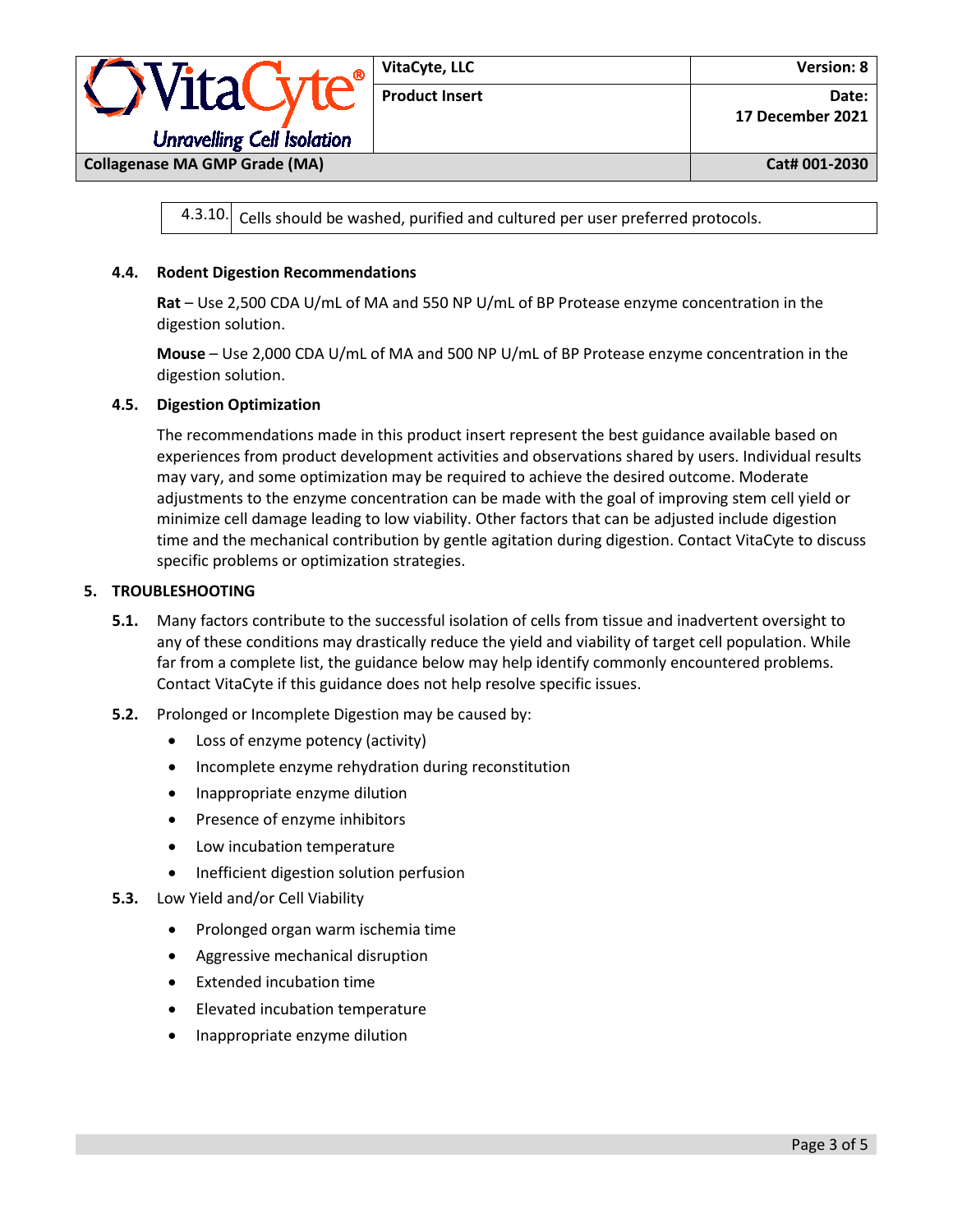

 $4.3.10$ . Cells should be washed, purified and cultured per user preferred protocols.

## **4.4. Rodent Digestion Recommendations**

**Rat** – Use 2,500 CDA U/mL of MA and 550 NP U/mL of BP Protease enzyme concentration in the digestion solution.

**Mouse** – Use 2,000 CDA U/mL of MA and 500 NP U/mL of BP Protease enzyme concentration in the digestion solution.

## **4.5. Digestion Optimization**

The recommendations made in this product insert represent the best guidance available based on experiences from product development activities and observations shared by users. Individual results may vary, and some optimization may be required to achieve the desired outcome. Moderate adjustments to the enzyme concentration can be made with the goal of improving stem cell yield or minimize cell damage leading to low viability. Other factors that can be adjusted include digestion time and the mechanical contribution by gentle agitation during digestion. Contact VitaCyte to discuss specific problems or optimization strategies.

#### **5. TROUBLESHOOTING**

- **5.1.** Many factors contribute to the successful isolation of cells from tissue and inadvertent oversight to any of these conditions may drastically reduce the yield and viability of target cell population. While far from a complete list, the guidance below may help identify commonly encountered problems. Contact VitaCyte if this guidance does not help resolve specific issues.
- **5.2.** Prolonged or Incomplete Digestion may be caused by:
	- Loss of enzyme potency (activity)
	- Incomplete enzyme rehydration during reconstitution
	- Inappropriate enzyme dilution
	- Presence of enzyme inhibitors
	- Low incubation temperature
	- Inefficient digestion solution perfusion
- **5.3.** Low Yield and/or Cell Viability
	- Prolonged organ warm ischemia time
	- Aggressive mechanical disruption
	- Extended incubation time
	- Elevated incubation temperature
	- Inappropriate enzyme dilution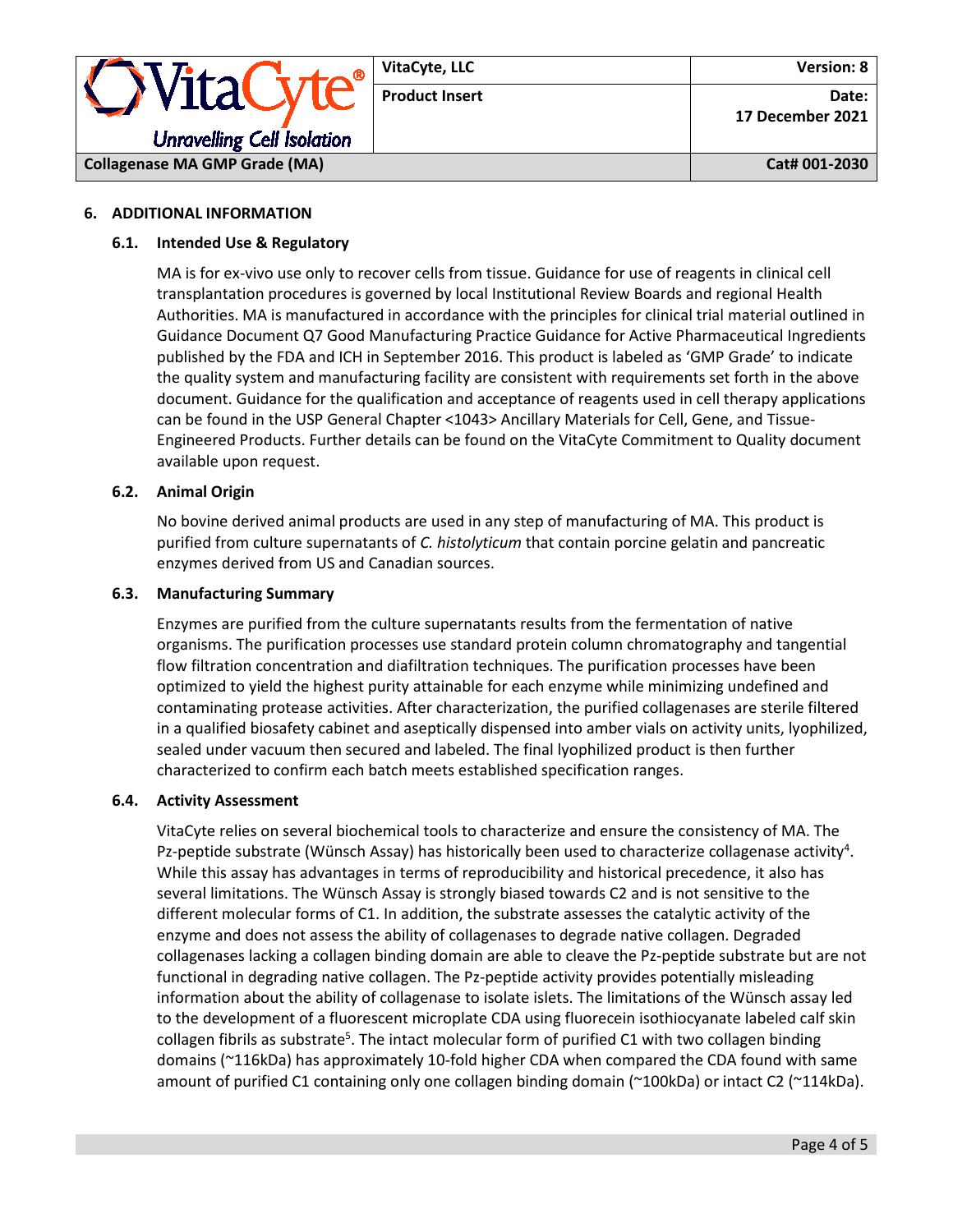

## **6. ADDITIONAL INFORMATION**

## **6.1. Intended Use & Regulatory**

MA is for ex-vivo use only to recover cells from tissue. Guidance for use of reagents in clinical cell transplantation procedures is governed by local Institutional Review Boards and regional Health Authorities. MA is manufactured in accordance with the principles for clinical trial material outlined in Guidance Document Q7 Good Manufacturing Practice Guidance for Active Pharmaceutical Ingredients published by the FDA and ICH in September 2016. This product is labeled as 'GMP Grade' to indicate the quality system and manufacturing facility are consistent with requirements set forth in the above document. Guidance for the qualification and acceptance of reagents used in cell therapy applications can be found in the USP General Chapter <1043> Ancillary Materials for Cell, Gene, and Tissue-Engineered Products. Further details can be found on the VitaCyte Commitment to Quality document available upon request.

## **6.2. Animal Origin**

No bovine derived animal products are used in any step of manufacturing of MA. This product is purified from culture supernatants of *C. histolyticum* that contain porcine gelatin and pancreatic enzymes derived from US and Canadian sources.

## **6.3. Manufacturing Summary**

Enzymes are purified from the culture supernatants results from the fermentation of native organisms. The purification processes use standard protein column chromatography and tangential flow filtration concentration and diafiltration techniques. The purification processes have been optimized to yield the highest purity attainable for each enzyme while minimizing undefined and contaminating protease activities. After characterization, the purified collagenases are sterile filtered in a qualified biosafety cabinet and aseptically dispensed into amber vials on activity units, lyophilized, sealed under vacuum then secured and labeled. The final lyophilized product is then further characterized to confirm each batch meets established specification ranges.

## **6.4. Activity Assessment**

VitaCyte relies on several biochemical tools to characterize and ensure the consistency of MA. The Pz-peptide substrate (Wünsch Assay) has historically been used to characterize collagenase activity<sup>4</sup>. While this assay has advantages in terms of reproducibility and historical precedence, it also has several limitations. The Wünsch Assay is strongly biased towards C2 and is not sensitive to the different molecular forms of C1. In addition, the substrate assesses the catalytic activity of the enzyme and does not assess the ability of collagenases to degrade native collagen. Degraded collagenases lacking a collagen binding domain are able to cleave the Pz-peptide substrate but are not functional in degrading native collagen. The Pz-peptide activity provides potentially misleading information about the ability of collagenase to isolate islets. The limitations of the Wünsch assay led to the development of a fluorescent microplate CDA using fluorecein isothiocyanate labeled calf skin collagen fibrils as substrate<sup>5</sup>. The intact molecular form of purified C1 with two collagen binding domains (~116kDa) has approximately 10-fold higher CDA when compared the CDA found with same amount of purified C1 containing only one collagen binding domain (~100kDa) or intact C2 (~114kDa).